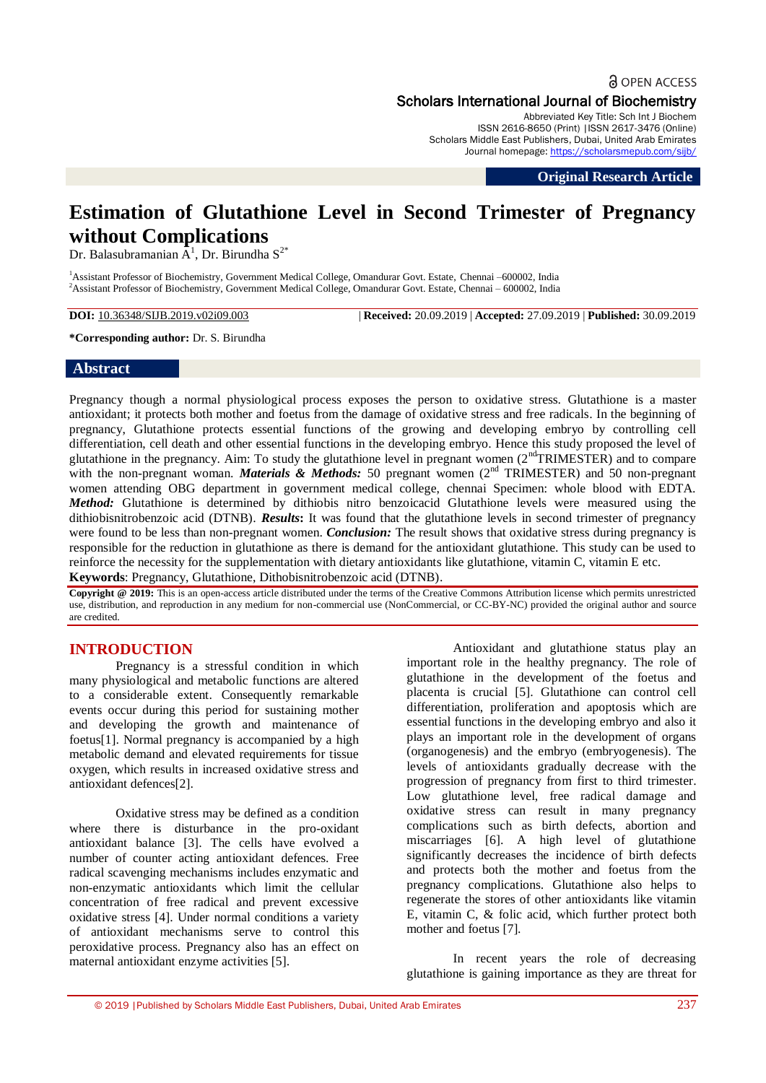**a** OPEN ACCESS Scholars International Journal of Biochemistry

Abbreviated Key Title: Sch Int J Biochem ISSN 2616-8650 (Print) |ISSN 2617-3476 (Online) Scholars Middle East Publishers, Dubai, United Arab Emirates Journal homepage: <https://scholarsmepub.com/sijb/>

**Original Research Article**

# **Estimation of Glutathione Level in Second Trimester of Pregnancy without Complications**

Dr. Balasubramanian  $\bar{A}^1$ , Dr. Birundha  $S^{2*}$ 

<sup>1</sup>Assistant Professor of Biochemistry, Government Medical College, Omandurar Govt. Estate, Chennai –600002, India <sup>2</sup>Assistant Professor of Biochemistry, Government Medical College, Omandurar Govt. Estate, Chennai – 600002, India

**DOI:** 10.36348/SIJB.2019.v02i09.003 | **Received:** 20.09.2019 | **Accepted:** 27.09.2019 | **Published:** 30.09.2019

**\*Corresponding author:** Dr. S. Birundha

#### **Abstract**

Pregnancy though a normal physiological process exposes the person to oxidative stress. Glutathione is a master antioxidant; it protects both mother and foetus from the damage of oxidative stress and free radicals. In the beginning of pregnancy, Glutathione protects essential functions of the growing and developing embryo by controlling cell differentiation, cell death and other essential functions in the developing embryo. Hence this study proposed the level of glutathione in the pregnancy. Aim: To study the glutathione level in pregnant women  $(2<sup>nd</sup>TRIMESTER)$  and to compare with the non-pregnant woman. *Materials & Methods:* 50 pregnant women (2<sup>nd</sup> TRIMESTER) and 50 non-pregnant women attending OBG department in government medical college, chennai Specimen: whole blood with EDTA. *Method:* Glutathione is determined by dithiobis nitro benzoicacid Glutathione levels were measured using the dithiobisnitrobenzoic acid (DTNB). *Results***:** It was found that the glutathione levels in second trimester of pregnancy were found to be less than non-pregnant women. *Conclusion:* The result shows that oxidative stress during pregnancy is responsible for the reduction in glutathione as there is demand for the antioxidant glutathione. This study can be used to reinforce the necessity for the supplementation with dietary antioxidants like glutathione, vitamin C, vitamin E etc. **Keywords**: Pregnancy, Glutathione, Dithobisnitrobenzoic acid (DTNB).

**Copyright @ 2019:** This is an open-access article distributed under the terms of the Creative Commons Attribution license which permits unrestricted use, distribution, and reproduction in any medium for non-commercial use (NonCommercial, or CC-BY-NC) provided the original author and source are credited.

## **INTRODUCTION**

Pregnancy is a stressful condition in which many physiological and metabolic functions are altered to a considerable extent. Consequently remarkable events occur during this period for sustaining mother and developing the growth and maintenance of foetus[1]. Normal pregnancy is accompanied by a high metabolic demand and elevated requirements for tissue oxygen, which results in increased oxidative stress and antioxidant defences[2].

Oxidative stress may be defined as a condition where there is disturbance in the pro-oxidant antioxidant balance [3]. The cells have evolved a number of counter acting antioxidant defences. Free radical scavenging mechanisms includes enzymatic and non-enzymatic antioxidants which limit the cellular concentration of free radical and prevent excessive oxidative stress [4]. Under normal conditions a variety of antioxidant mechanisms serve to control this peroxidative process. Pregnancy also has an effect on maternal antioxidant enzyme activities [5].

Antioxidant and glutathione status play an important role in the healthy pregnancy. The role of glutathione in the development of the foetus and placenta is crucial [5]. Glutathione can control cell differentiation, proliferation and apoptosis which are essential functions in the developing embryo and also it plays an important role in the development of organs (organogenesis) and the embryo (embryogenesis). The levels of antioxidants gradually decrease with the progression of pregnancy from first to third trimester. Low glutathione level, free radical damage and oxidative stress can result in many pregnancy complications such as birth defects, abortion and miscarriages [6]. A high level of glutathione significantly decreases the incidence of birth defects and protects both the mother and foetus from the pregnancy complications. Glutathione also helps to regenerate the stores of other antioxidants like vitamin E, vitamin C, & folic acid, which further protect both mother and foetus [7].

In recent years the role of decreasing glutathione is gaining importance as they are threat for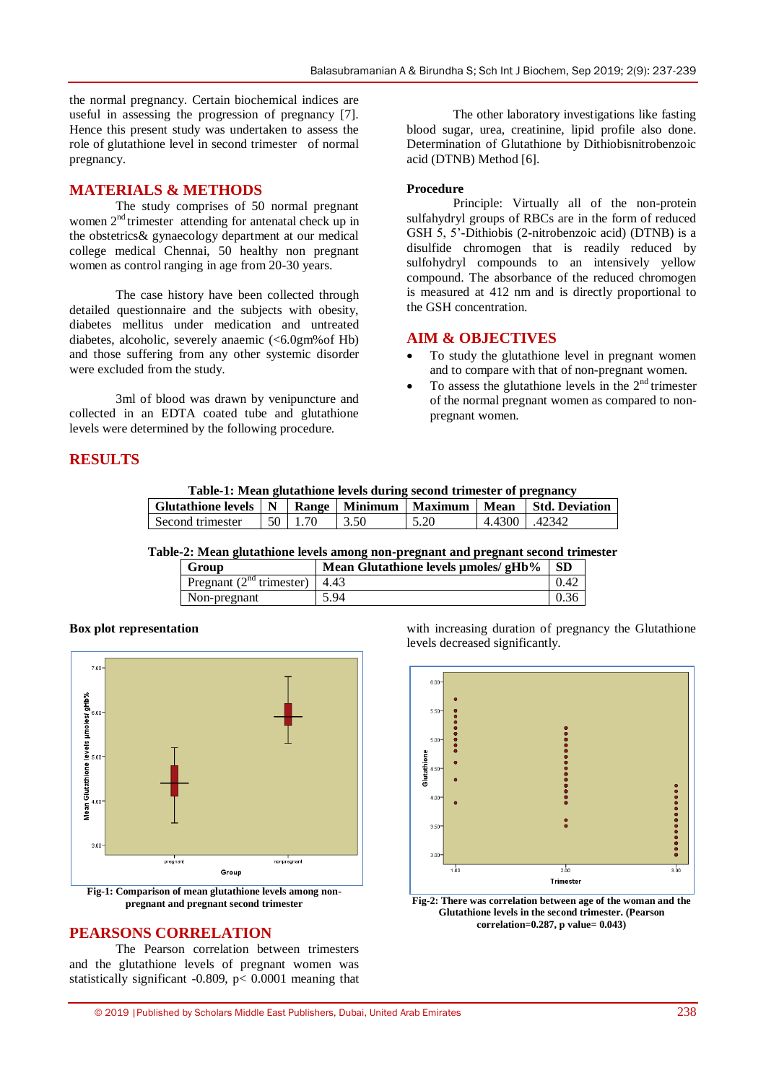the normal pregnancy. Certain biochemical indices are useful in assessing the progression of pregnancy [7]. Hence this present study was undertaken to assess the role of glutathione level in second trimester of normal pregnancy.

## **MATERIALS & METHODS**

The study comprises of 50 normal pregnant women 2<sup>nd</sup> trimester attending for antenatal check up in the obstetrics& gynaecology department at our medical college medical Chennai, 50 healthy non pregnant women as control ranging in age from 20-30 years.

The case history have been collected through detailed questionnaire and the subjects with obesity, diabetes mellitus under medication and untreated diabetes, alcoholic, severely anaemic (<6.0gm%of Hb) and those suffering from any other systemic disorder were excluded from the study.

3ml of blood was drawn by venipuncture and collected in an EDTA coated tube and glutathione levels were determined by the following procedure.

The other laboratory investigations like fasting blood sugar, urea, creatinine, lipid profile also done. Determination of Glutathione by Dithiobisnitrobenzoic acid (DTNB) Method [6].

### **Procedure**

Principle: Virtually all of the non-protein sulfahydryl groups of RBCs are in the form of reduced GSH 5, 5'-Dithiobis (2-nitrobenzoic acid) (DTNB) is a disulfide chromogen that is readily reduced by sulfohydryl compounds to an intensively yellow compound. The absorbance of the reduced chromogen is measured at 412 nm and is directly proportional to the GSH concentration.

## **AIM & OBJECTIVES**

- To study the glutathione level in pregnant women and to compare with that of non-pregnant women.
- To assess the glutathione levels in the  $2<sup>nd</sup>$  trimester of the normal pregnant women as compared to nonpregnant women.

# **RESULTS**

**Table-1: Mean glutathione levels during second trimester of pregnancy**

| Glutathione levels   N   Range   Minimum   Maximum   Mean   Std. Deviation |             |      |      |              |  |
|----------------------------------------------------------------------------|-------------|------|------|--------------|--|
| Second trimester                                                           | $1,50$ 1.70 | 3.50 | 5.20 | 4.4300 42342 |  |

**Table-2: Mean glutathione levels among non-pregnant and pregnant second trimester**

| Group                              | Mean Glutathione levels umoles/ gHb% | <b>SD</b> |
|------------------------------------|--------------------------------------|-----------|
| Pregnant $(2^{nd}$ trimester) 4.43 |                                      | 0.42      |
| Non-pregnant                       | 5.94                                 | 0.36      |

## **Box plot representation**



**Fig-1: Comparison of mean glutathione levels among nonpregnant and pregnant second trimester**

## **PEARSONS CORRELATION**

The Pearson correlation between trimesters and the glutathione levels of pregnant women was statistically significant -0.809,  $p < 0.0001$  meaning that with increasing duration of pregnancy the Glutathione levels decreased significantly.



**Fig-2: There was correlation between age of the woman and the Glutathione levels in the second trimester. (Pearson correlation=0.287, p value= 0.043)**